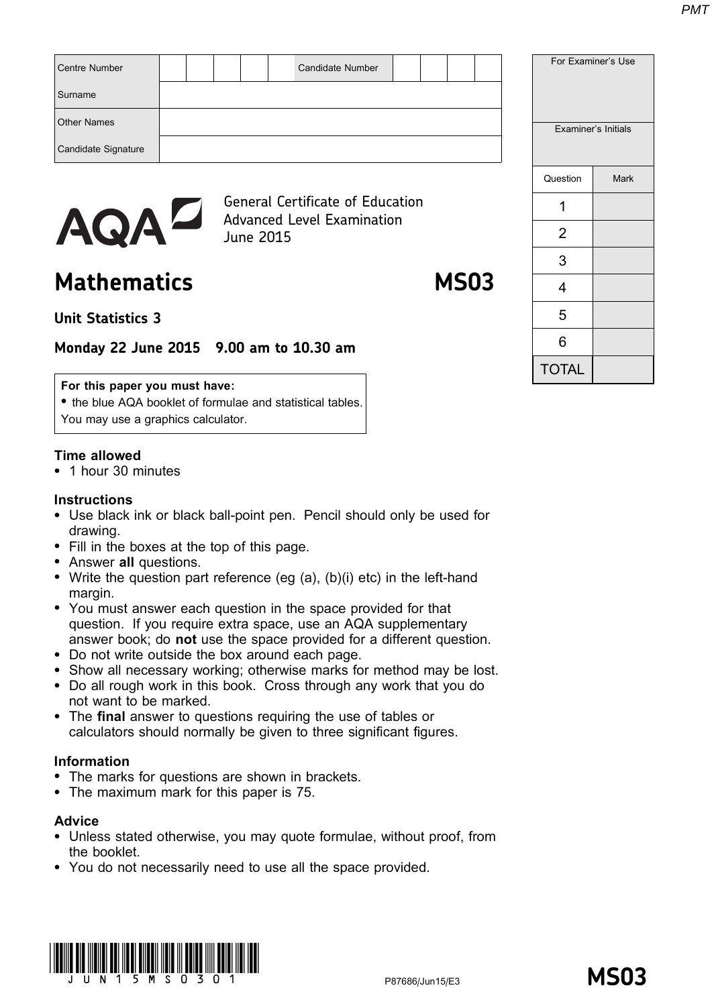| Centre Number       | Candidate Number                                                             |          | For Examiner's Use  |
|---------------------|------------------------------------------------------------------------------|----------|---------------------|
| Surname             |                                                                              |          |                     |
| <b>Other Names</b>  |                                                                              |          | Examiner's Initials |
| Candidate Signature |                                                                              |          |                     |
|                     |                                                                              | Question | Mark                |
|                     | <b>General Certificate of Education</b><br><b>Advanced Level Examination</b> |          |                     |
| AQAL                | June 2015                                                                    | 2        |                     |

# Mathematics MS03

# Unit Statistics 3

## Monday 22 June 2015 9.00 am to 10.30 am

#### For this paper you must have:

• the blue AQA booklet of formulae and statistical tables. You may use a graphics calculator.

### Time allowed

\* 1 hour 30 minutes

#### **Instructions**

- Use black ink or black ball-point pen. Pencil should only be used for drawing.
- Fill in the boxes at the top of this page.
- Answer all questions.
- Write the question part reference (eg  $(a)$ ,  $(b)(i)$  etc) in the left-hand margin.
- You must answer each question in the space provided for that question. If you require extra space, use an AQA supplementary answer book; do not use the space provided for a different question.
- \* Do not write outside the box around each page.
- Show all necessary working; otherwise marks for method may be lost.
- \* Do all rough work in this book. Cross through any work that you do not want to be marked.
- The final answer to questions requiring the use of tables or calculators should normally be given to three significant figures.

### Information

- The marks for questions are shown in brackets.
- The maximum mark for this paper is 75.

#### Advice

- \* Unless stated otherwise, you may quote formulae, without proof, from the booklet.
- \* You do not necessarily need to use all the space provided.



3 4 5 6 TOTAL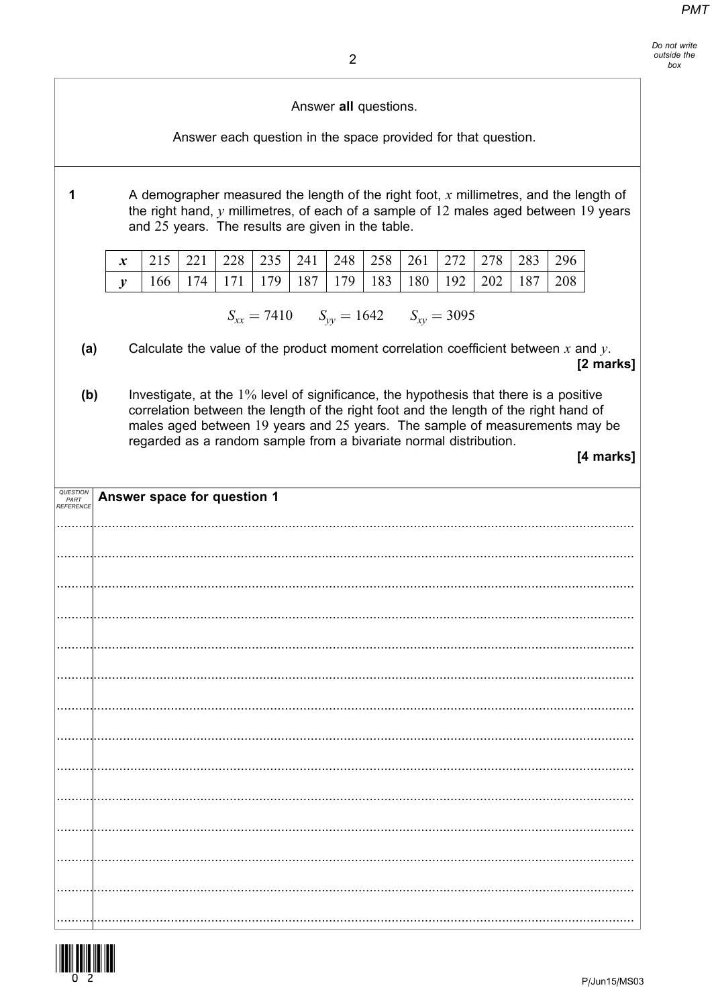Answer all questions.

Answer each question in the space provided for that question.

A demographer measured the length of the right foot,  $x$  millimetres, and the length of the right hand,  $\nu$  millimetres, of each of a sample of 12 males aged between 19 years and 25 years. The results are given in the table.

| $x$   215   221   228   235   241   248   258   261   272   278   283   296 |  |  |  |  |  |  |
|-----------------------------------------------------------------------------|--|--|--|--|--|--|
| 166   174   171   179   187   179   183   180   192   202   187   208       |  |  |  |  |  |  |

 $S_{xx} = 7410$   $S_{yy} = 1642$   $S_{xy} = 3095$ 

- Calculate the value of the product moment correlation coefficient between  $x$  and  $y$ .  $(a)$ [2 marks]
- $(b)$ Investigate, at the 1% level of significance, the hypothesis that there is a positive correlation between the length of the right foot and the length of the right hand of males aged between 19 years and 25 years. The sample of measurements may be regarded as a random sample from a bivariate normal distribution.

[4 marks]

| QUESTION<br>PART<br>REFERENCE | Answer space for question 1 |
|-------------------------------|-----------------------------|
|                               |                             |
|                               |                             |
|                               |                             |
|                               |                             |
|                               |                             |
|                               |                             |
|                               |                             |
|                               |                             |
|                               |                             |
|                               |                             |
|                               |                             |
|                               |                             |
|                               |                             |
|                               |                             |



 $\mathbf 1$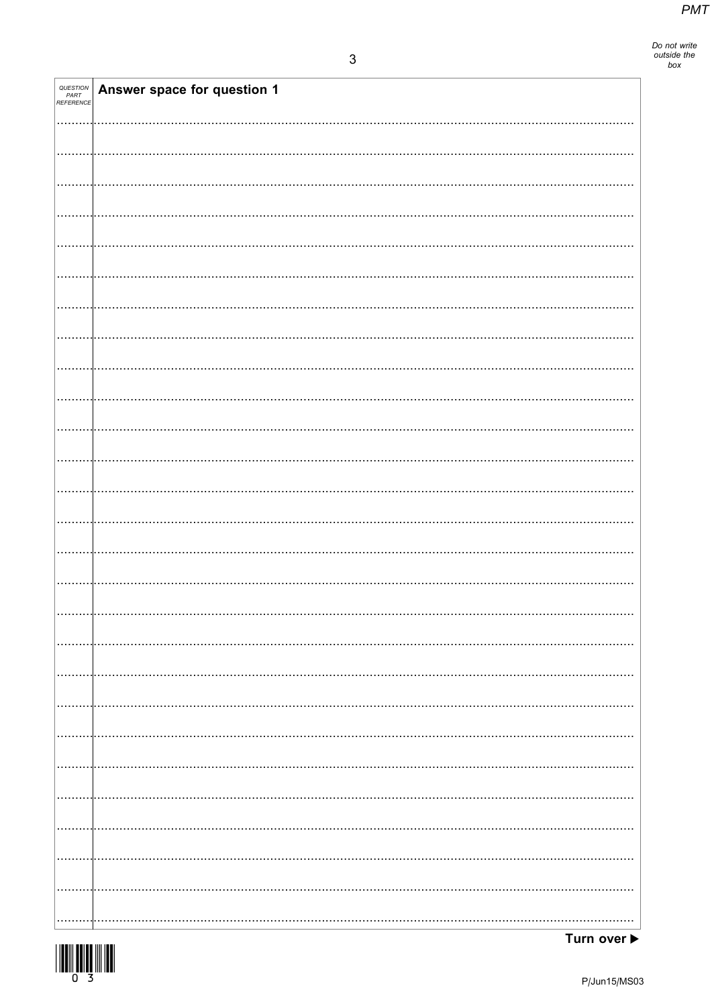Do not write<br>outside the<br>box

| <b>QUESTION<br/>PART<br/>REFERENCE</b> | Answer space for question 1 |
|----------------------------------------|-----------------------------|
|                                        |                             |
|                                        |                             |
|                                        |                             |
|                                        |                             |
|                                        |                             |
|                                        |                             |
|                                        |                             |
|                                        |                             |
|                                        |                             |
|                                        |                             |
|                                        |                             |
|                                        |                             |
|                                        |                             |
|                                        |                             |
|                                        |                             |
|                                        |                             |
|                                        |                             |
|                                        |                             |
|                                        |                             |
|                                        |                             |
|                                        |                             |
|                                        |                             |
|                                        |                             |
|                                        |                             |
|                                        |                             |
|                                        |                             |
|                                        |                             |
|                                        |                             |
|                                        |                             |
| .                                      | .                           |
| .                                      | .                           |
| .                                      |                             |
|                                        |                             |
|                                        |                             |
|                                        |                             |
|                                        |                             |

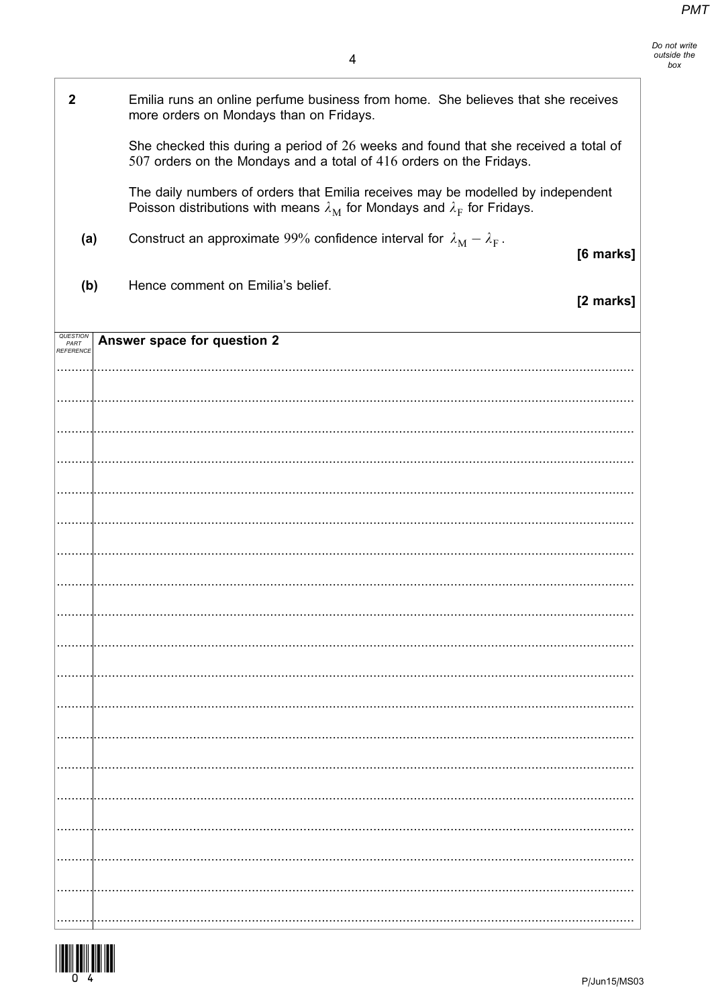| $\boldsymbol{2}$                                                                                                                                                         | Emilia runs an online perfume business from home. She believes that she receives<br>more orders on Mondays than on Fridays.                                |           |
|--------------------------------------------------------------------------------------------------------------------------------------------------------------------------|------------------------------------------------------------------------------------------------------------------------------------------------------------|-----------|
|                                                                                                                                                                          | She checked this during a period of 26 weeks and found that she received a total of<br>507 orders on the Mondays and a total of 416 orders on the Fridays. |           |
| The daily numbers of orders that Emilia receives may be modelled by independent<br>Poisson distributions with means $\lambda_M$ for Mondays and $\lambda_F$ for Fridays. |                                                                                                                                                            |           |
| (a)                                                                                                                                                                      | Construct an approximate 99% confidence interval for $\lambda_M - \lambda_F$ .                                                                             | [6 marks] |
| (b)                                                                                                                                                                      | Hence comment on Emilia's belief.                                                                                                                          | [2 marks] |
| QUESTION<br>PART<br>REFERENCE                                                                                                                                            | Answer space for question 2                                                                                                                                |           |
|                                                                                                                                                                          |                                                                                                                                                            |           |
|                                                                                                                                                                          |                                                                                                                                                            |           |
|                                                                                                                                                                          |                                                                                                                                                            |           |
|                                                                                                                                                                          |                                                                                                                                                            |           |
|                                                                                                                                                                          |                                                                                                                                                            |           |
|                                                                                                                                                                          |                                                                                                                                                            |           |
|                                                                                                                                                                          |                                                                                                                                                            |           |
|                                                                                                                                                                          |                                                                                                                                                            |           |
|                                                                                                                                                                          |                                                                                                                                                            |           |
|                                                                                                                                                                          |                                                                                                                                                            |           |
|                                                                                                                                                                          |                                                                                                                                                            |           |
|                                                                                                                                                                          |                                                                                                                                                            |           |
|                                                                                                                                                                          |                                                                                                                                                            |           |
|                                                                                                                                                                          |                                                                                                                                                            |           |
|                                                                                                                                                                          |                                                                                                                                                            |           |
|                                                                                                                                                                          |                                                                                                                                                            |           |
|                                                                                                                                                                          |                                                                                                                                                            |           |
|                                                                                                                                                                          |                                                                                                                                                            |           |
|                                                                                                                                                                          |                                                                                                                                                            |           |

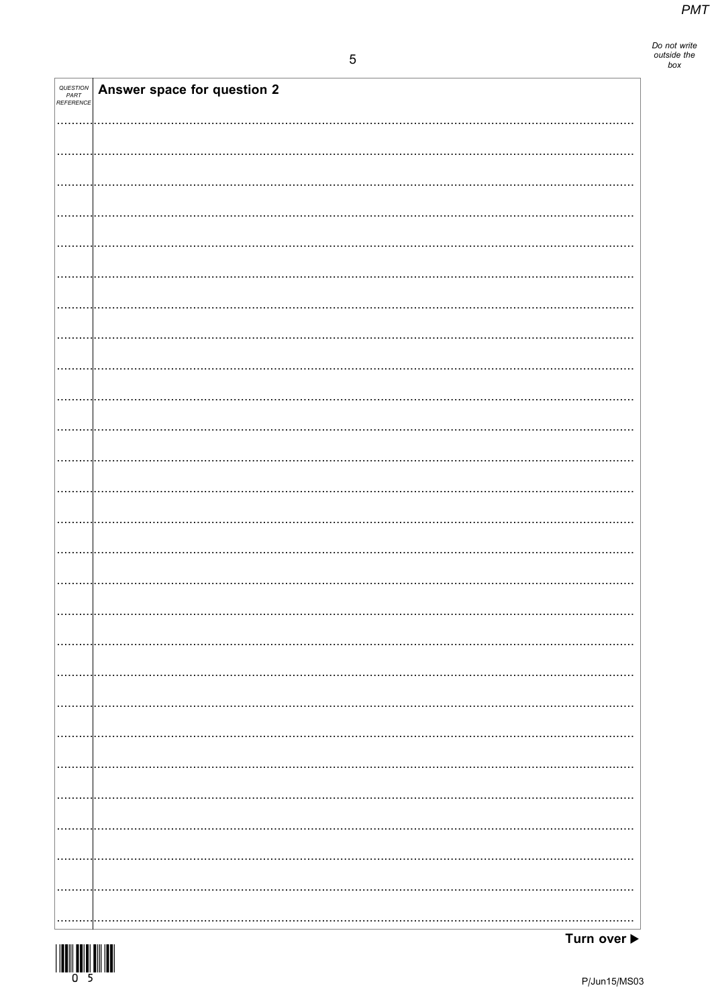Do not write<br>outside the<br>box

| <b>QUESTION<br/>PART<br/>REFERENCE</b> | Answer space for question 2 |
|----------------------------------------|-----------------------------|
|                                        |                             |
|                                        |                             |
|                                        |                             |
|                                        |                             |
|                                        |                             |
|                                        |                             |
|                                        |                             |
|                                        |                             |
|                                        |                             |
|                                        |                             |
|                                        |                             |
|                                        |                             |
|                                        |                             |
|                                        |                             |
|                                        |                             |
|                                        |                             |
|                                        |                             |
|                                        |                             |
|                                        |                             |
|                                        |                             |
|                                        |                             |
|                                        | .                           |
|                                        |                             |
|                                        |                             |
| .                                      |                             |
|                                        |                             |
|                                        |                             |

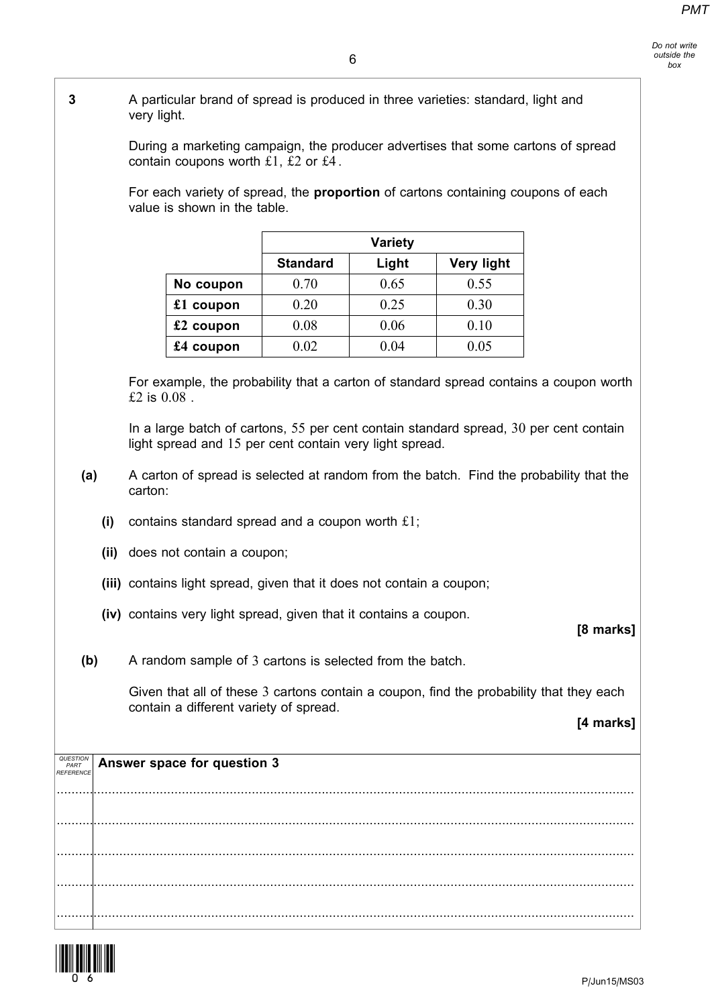3 A particular brand of spread is produced in three varieties: standard, light and very light.

> During a marketing campaign, the producer advertises that some cartons of spread contain coupons worth  $£1, £2$  or  $£4$ .

For each variety of spread, the **proportion** of cartons containing coupons of each value is shown in the table.

|             |                 | <b>Variety</b> |                   |
|-------------|-----------------|----------------|-------------------|
|             | <b>Standard</b> | Light          | <b>Very light</b> |
| No coupon   | 0.70            | 0.65           | 0.55              |
| $£1$ coupon | 0.20            | 0.25           | 0.30              |
| $£2$ coupon | 0.08            | 0.06           | 0.10              |
| $£4$ coupon | 0.02            | 0 O4           | 0.05              |

For example, the probability that a carton of standard spread contains a coupon worth £2 is 0.08 .

In a large batch of cartons, 55 per cent contain standard spread, 30 per cent contain light spread and 15 per cent contain very light spread.

- (a) A carton of spread is selected at random from the batch. Find the probability that the carton:
	- (i) contains standard spread and a coupon worth  $£1;$
	- (ii) does not contain a coupon;
	- (iii) contains light spread, given that it does not contain a coupon;
	- (iv) contains very light spread, given that it contains a coupon.

### [8 marks]

(b) A random sample of 3 cartons is selected from the batch.

Given that all of these 3 cartons contain a coupon, find the probability that they each contain a different variety of spread.

#### [4 marks]

| QUESTION<br>PART<br><b>REFERENCE</b> | Answer space for question 3 |
|--------------------------------------|-----------------------------|
|                                      |                             |
|                                      |                             |
|                                      |                             |
|                                      |                             |
|                                      |                             |

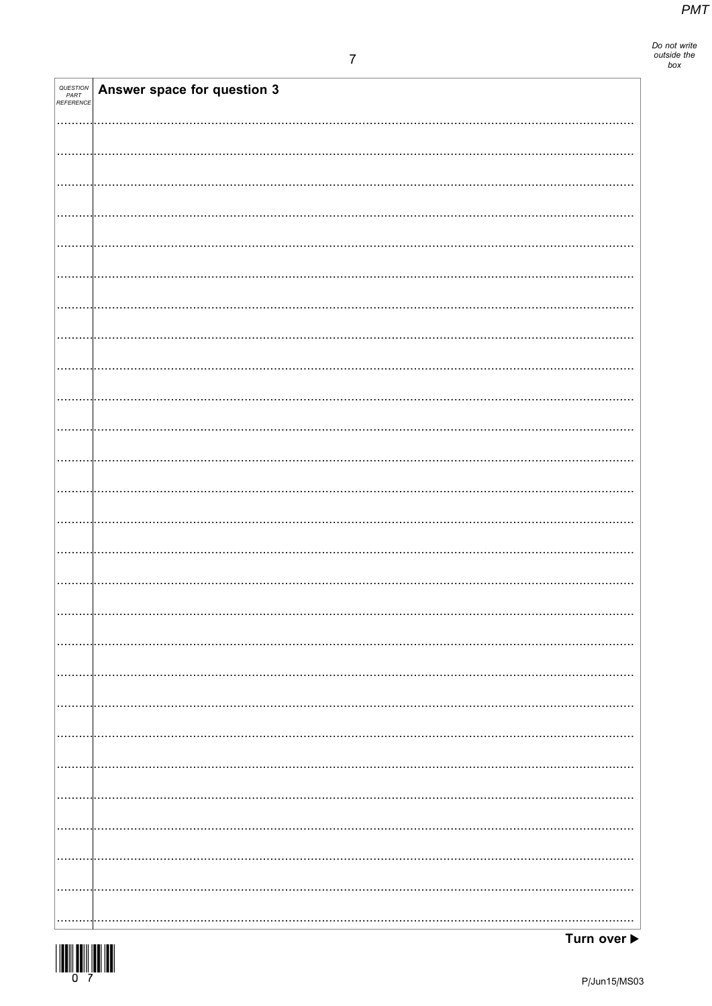Do not write<br>outside the<br>box

| <b>QUESTION<br/>PART<br/>REFERENCE</b> | Answer space for question 3 |
|----------------------------------------|-----------------------------|
|                                        |                             |
|                                        |                             |
|                                        |                             |
|                                        |                             |
|                                        |                             |
|                                        |                             |
|                                        |                             |
|                                        |                             |
|                                        |                             |
|                                        |                             |
|                                        |                             |
|                                        |                             |
|                                        |                             |
|                                        |                             |
|                                        |                             |
|                                        |                             |
|                                        |                             |
|                                        |                             |
|                                        |                             |
|                                        |                             |
|                                        |                             |
|                                        |                             |
|                                        |                             |
|                                        |                             |
|                                        |                             |
|                                        |                             |
|                                        |                             |
|                                        |                             |
|                                        |                             |
|                                        |                             |
|                                        |                             |
|                                        |                             |
|                                        |                             |
|                                        |                             |
|                                        |                             |
| .                                      |                             |
|                                        |                             |
|                                        |                             |
|                                        |                             |
|                                        |                             |
|                                        | .                           |
|                                        |                             |
| .                                      |                             |
|                                        |                             |
| .                                      |                             |
|                                        |                             |
|                                        |                             |
|                                        |                             |
|                                        |                             |
|                                        |                             |
|                                        |                             |

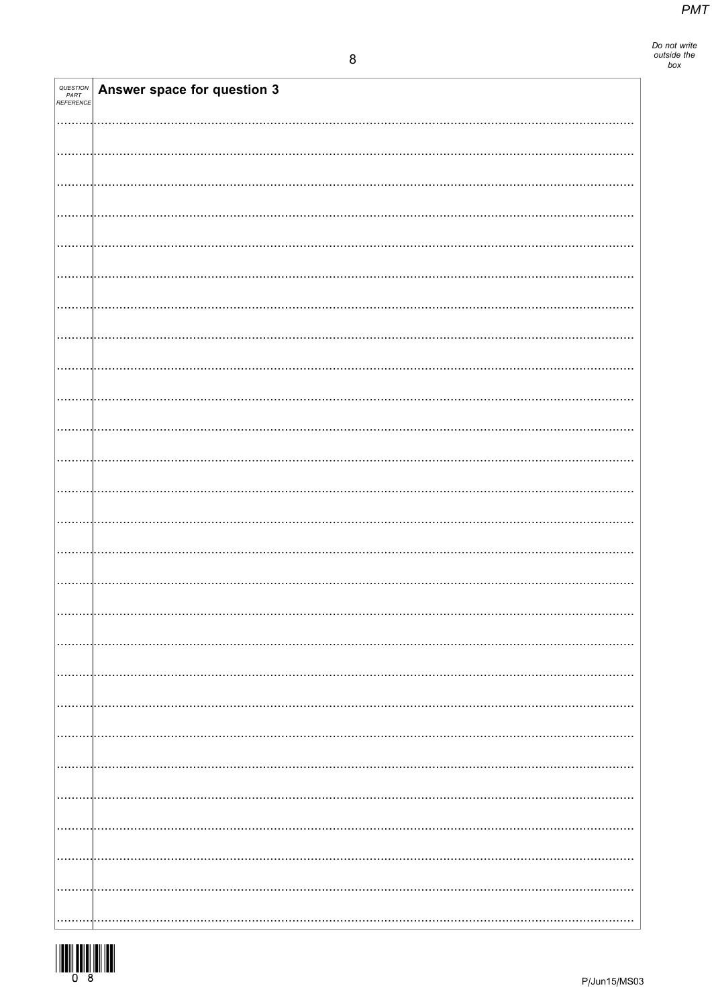| QUESTION<br>PART<br>REFERENCE | Answer space for question 3 |
|-------------------------------|-----------------------------|
|                               |                             |
|                               |                             |
|                               |                             |
|                               |                             |
|                               |                             |
|                               |                             |
|                               |                             |
|                               |                             |
|                               |                             |
|                               |                             |
|                               |                             |
|                               |                             |
|                               |                             |
|                               |                             |
|                               |                             |
|                               |                             |
|                               |                             |
|                               |                             |
|                               |                             |
|                               |                             |
|                               |                             |
|                               |                             |
|                               |                             |
|                               |                             |
|                               |                             |

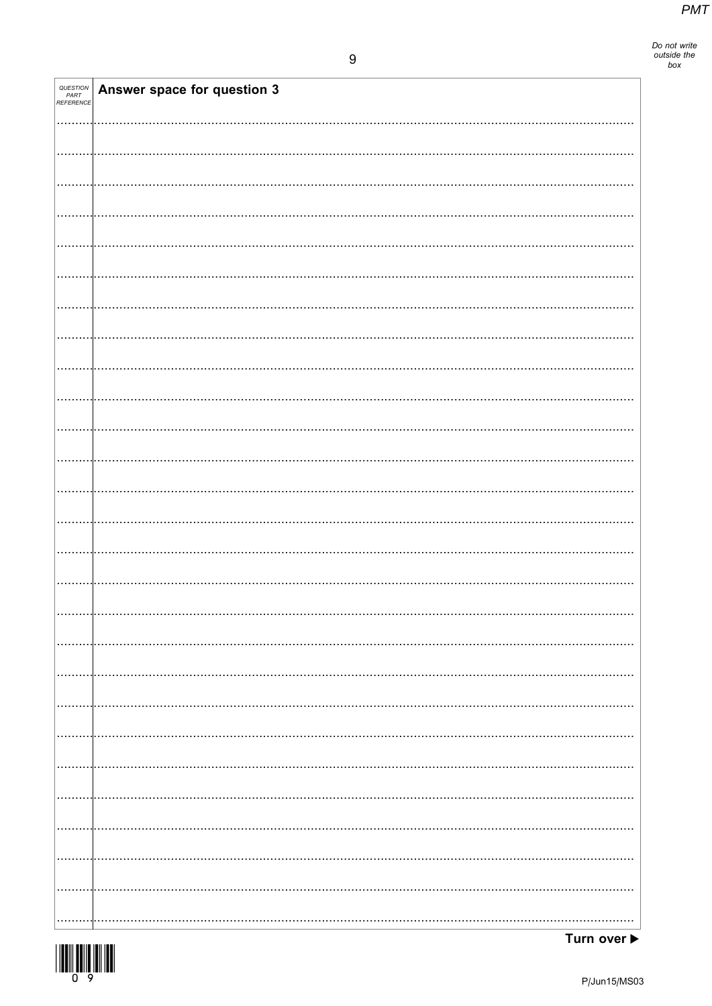Do not write<br>outside the<br>box

| QUESTION<br>PART<br>REFERENCE | Answer space for question 3 |
|-------------------------------|-----------------------------|
|                               |                             |
|                               |                             |
|                               |                             |
|                               |                             |
|                               |                             |
|                               |                             |
|                               |                             |
|                               |                             |
|                               |                             |
|                               |                             |
|                               |                             |
|                               |                             |
|                               |                             |
|                               |                             |
|                               |                             |
|                               |                             |
|                               |                             |
|                               |                             |
|                               |                             |
|                               |                             |
|                               |                             |
|                               |                             |
|                               |                             |
|                               |                             |
|                               |                             |
|                               |                             |
|                               |                             |

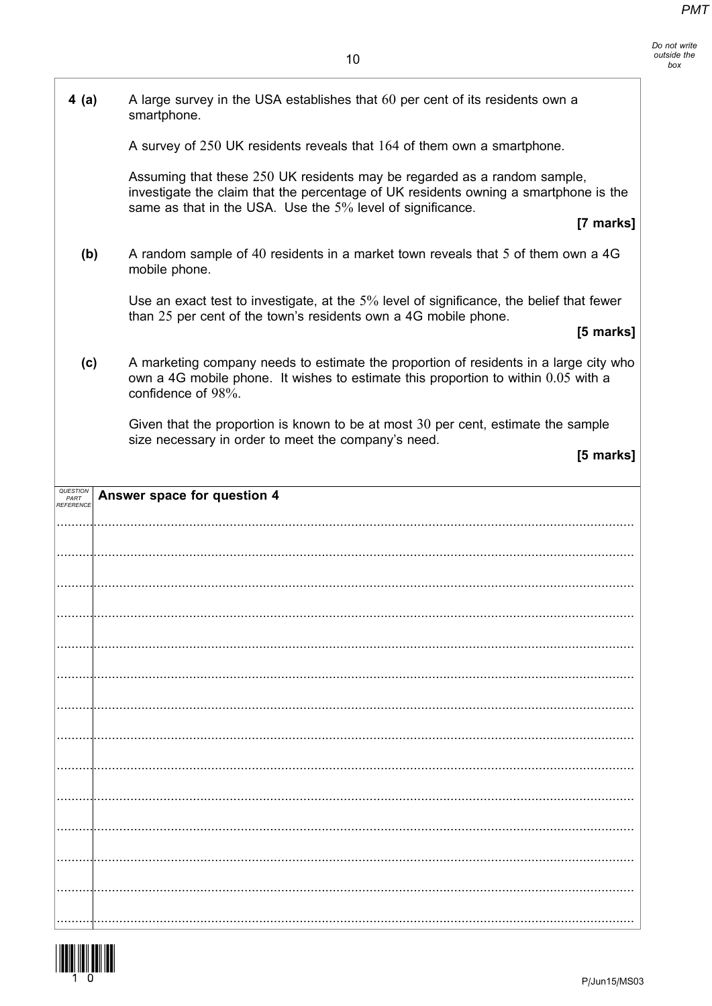| 4(a)                          | A large survey in the USA establishes that 60 per cent of its residents own a<br>smartphone.                                                                                                                                   |           |
|-------------------------------|--------------------------------------------------------------------------------------------------------------------------------------------------------------------------------------------------------------------------------|-----------|
|                               | A survey of 250 UK residents reveals that 164 of them own a smartphone.                                                                                                                                                        |           |
|                               | Assuming that these 250 UK residents may be regarded as a random sample,<br>investigate the claim that the percentage of UK residents owning a smartphone is the<br>same as that in the USA. Use the 5% level of significance. | [7 marks] |
| (b)                           | A random sample of 40 residents in a market town reveals that 5 of them own a 4G<br>mobile phone.                                                                                                                              |           |
|                               | Use an exact test to investigate, at the 5% level of significance, the belief that fewer<br>than 25 per cent of the town's residents own a 4G mobile phone.                                                                    | [5 marks] |
| (c)                           | A marketing company needs to estimate the proportion of residents in a large city who<br>own a 4G mobile phone. It wishes to estimate this proportion to within 0.05 with a<br>confidence of 98%.                              |           |
|                               | Given that the proportion is known to be at most 30 per cent, estimate the sample<br>size necessary in order to meet the company's need.                                                                                       |           |
|                               |                                                                                                                                                                                                                                | [5 marks] |
| QUESTION<br>PART<br>REFERENCE | Answer space for question 4                                                                                                                                                                                                    |           |
|                               |                                                                                                                                                                                                                                |           |
|                               |                                                                                                                                                                                                                                |           |
|                               |                                                                                                                                                                                                                                |           |
|                               |                                                                                                                                                                                                                                |           |
|                               |                                                                                                                                                                                                                                |           |
|                               |                                                                                                                                                                                                                                |           |
|                               |                                                                                                                                                                                                                                |           |
|                               |                                                                                                                                                                                                                                |           |
|                               |                                                                                                                                                                                                                                |           |
|                               |                                                                                                                                                                                                                                |           |
|                               |                                                                                                                                                                                                                                |           |
|                               |                                                                                                                                                                                                                                |           |
|                               |                                                                                                                                                                                                                                |           |
|                               |                                                                                                                                                                                                                                |           |

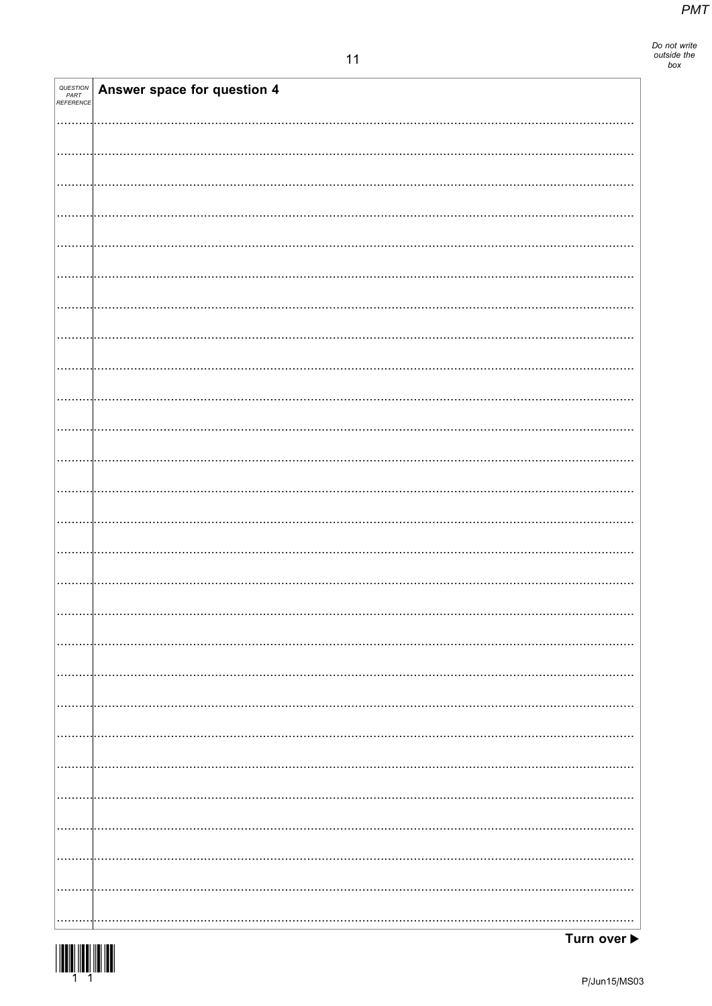Do not write<br>outside the<br>box

| <i>QUESTION<br/>PART<br/>REFERENCE</i> | Answer space for question 4 |  |
|----------------------------------------|-----------------------------|--|
|                                        |                             |  |
|                                        |                             |  |
|                                        |                             |  |
|                                        |                             |  |
|                                        |                             |  |
|                                        |                             |  |
|                                        |                             |  |
|                                        |                             |  |
|                                        |                             |  |
|                                        |                             |  |
|                                        |                             |  |
|                                        |                             |  |
|                                        |                             |  |
|                                        |                             |  |
|                                        |                             |  |
|                                        |                             |  |
|                                        |                             |  |
|                                        |                             |  |
|                                        |                             |  |
|                                        |                             |  |
|                                        |                             |  |
|                                        |                             |  |
|                                        |                             |  |
|                                        |                             |  |
|                                        |                             |  |
|                                        |                             |  |

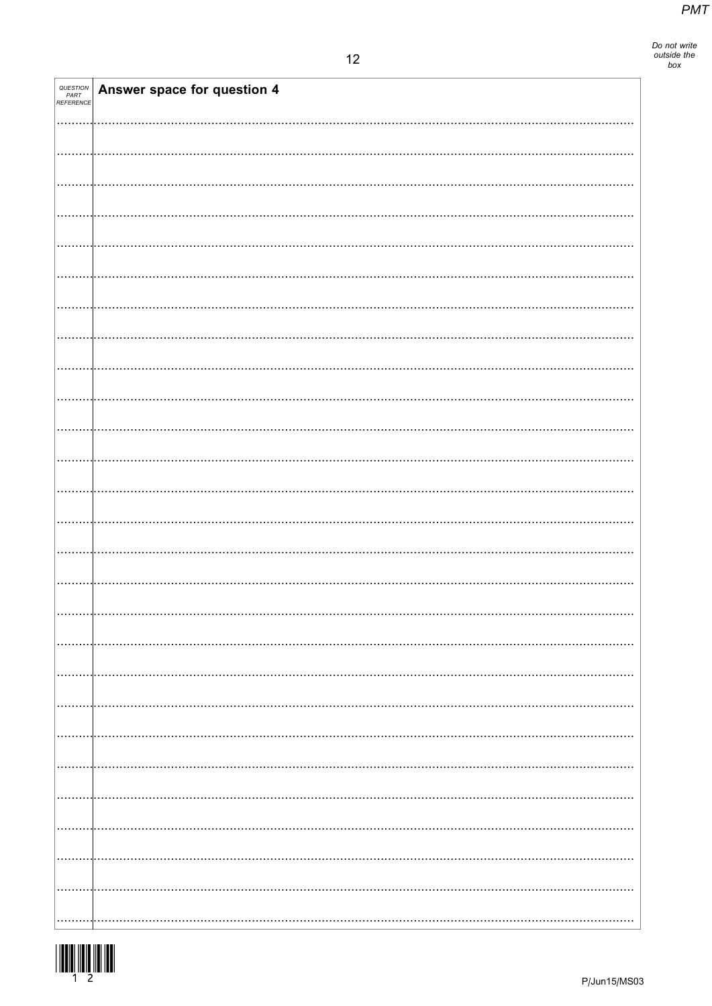| <b>QUESTION<br/>PART<br/>REFERENCE</b> | Answer space for question 4 |
|----------------------------------------|-----------------------------|
|                                        |                             |
|                                        |                             |
|                                        |                             |
|                                        |                             |
|                                        |                             |
|                                        |                             |
|                                        |                             |
|                                        |                             |
|                                        |                             |
|                                        |                             |
|                                        |                             |
|                                        |                             |
|                                        |                             |
|                                        |                             |
|                                        |                             |
|                                        |                             |
|                                        |                             |
|                                        |                             |
|                                        |                             |
|                                        |                             |
|                                        |                             |
|                                        |                             |
|                                        |                             |
|                                        |                             |
|                                        |                             |
|                                        |                             |
|                                        |                             |
|                                        |                             |
|                                        |                             |
|                                        |                             |
|                                        |                             |
|                                        |                             |
|                                        |                             |
|                                        |                             |
|                                        |                             |
|                                        |                             |
|                                        |                             |
|                                        |                             |
|                                        |                             |
|                                        |                             |
|                                        |                             |
|                                        |                             |
|                                        |                             |
|                                        |                             |
|                                        |                             |
|                                        |                             |
|                                        |                             |
|                                        |                             |
|                                        |                             |
|                                        |                             |

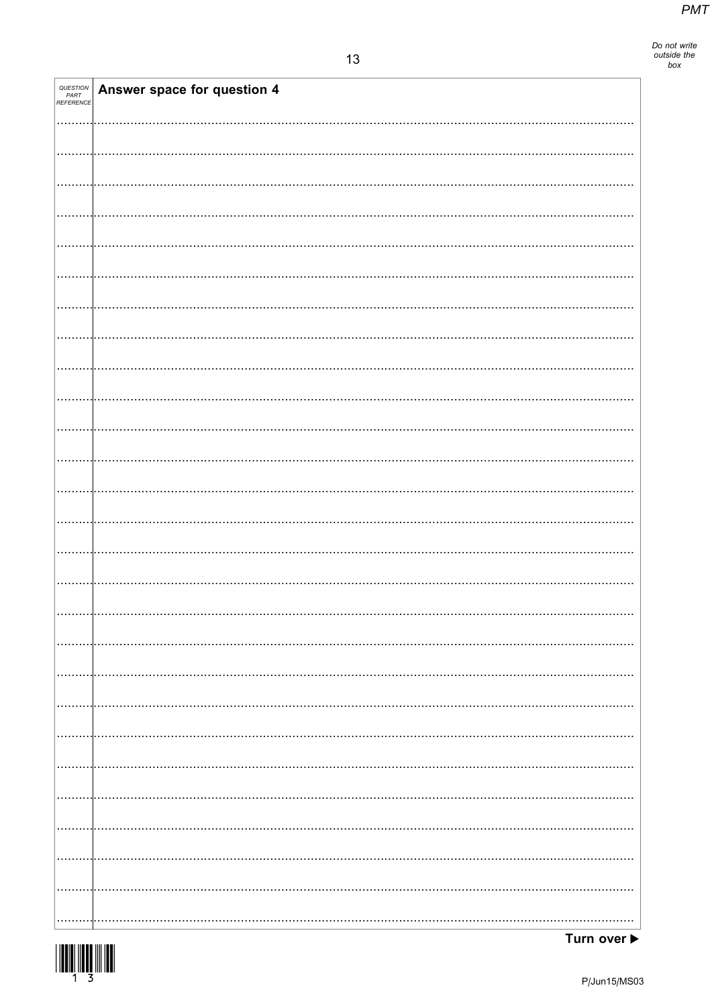| QUESTION<br>PART<br>REFERENCE | Answer space for question 4 |  |
|-------------------------------|-----------------------------|--|
|                               |                             |  |
|                               |                             |  |
|                               |                             |  |
|                               |                             |  |
|                               |                             |  |
|                               |                             |  |
|                               |                             |  |
|                               |                             |  |
|                               |                             |  |
|                               |                             |  |
|                               |                             |  |
|                               |                             |  |
|                               |                             |  |
|                               |                             |  |
|                               |                             |  |
|                               |                             |  |
|                               |                             |  |
|                               |                             |  |
|                               |                             |  |
|                               |                             |  |
|                               |                             |  |
|                               |                             |  |
|                               |                             |  |
|                               |                             |  |
|                               |                             |  |
|                               |                             |  |
|                               |                             |  |

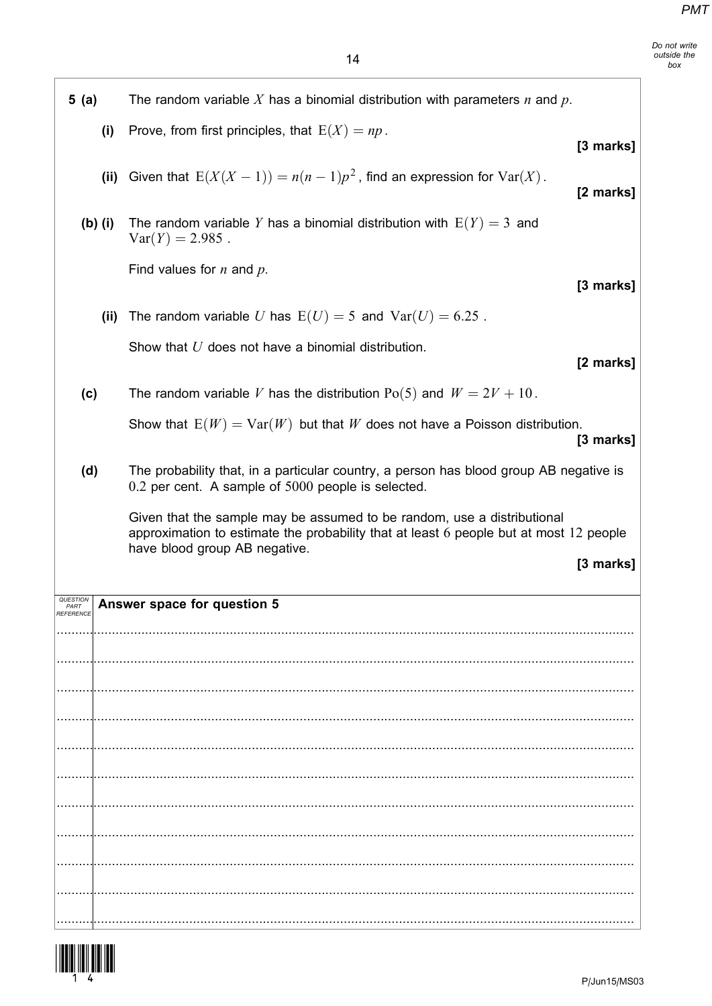Do not write outside the box

| 5(a) |           | The random variable X has a binomial distribution with parameters $n$ and $p$ .                                                                                                                    |           |
|------|-----------|----------------------------------------------------------------------------------------------------------------------------------------------------------------------------------------------------|-----------|
|      | (i)       | Prove, from first principles, that $E(X) = np$ .                                                                                                                                                   | [3 marks] |
|      | (ii)      | Given that $E(X(X-1)) = n(n-1)p^2$ , find an expression for $Var(X)$ .                                                                                                                             | [2 marks] |
|      | $(b)$ (i) | The random variable Y has a binomial distribution with $E(Y) = 3$ and<br>$Var(Y) = 2.985$ .                                                                                                        |           |
|      |           | Find values for $n$ and $p$ .                                                                                                                                                                      | [3 marks] |
|      | (ii)      | The random variable U has $E(U) = 5$ and $Var(U) = 6.25$ .                                                                                                                                         |           |
|      |           | Show that U does not have a binomial distribution.                                                                                                                                                 | [2 marks] |
| (c)  |           | The random variable V has the distribution $Po(5)$ and $W = 2V + 10$ .                                                                                                                             |           |
|      |           | Show that $E(W) = Var(W)$ but that W does not have a Poisson distribution.                                                                                                                         | [3 marks] |
| (d)  |           | The probability that, in a particular country, a person has blood group AB negative is<br>0.2 per cent. A sample of 5000 people is selected.                                                       |           |
|      |           | Given that the sample may be assumed to be random, use a distributional<br>approximation to estimate the probability that at least 6 people but at most 12 people<br>have blood group AB negative. |           |
|      |           |                                                                                                                                                                                                    |           |
| PART |           |                                                                                                                                                                                                    | [3 marks] |
|      |           | Answer space for question 5                                                                                                                                                                        |           |
|      |           |                                                                                                                                                                                                    |           |
|      |           |                                                                                                                                                                                                    |           |
|      |           |                                                                                                                                                                                                    |           |
|      |           |                                                                                                                                                                                                    |           |
|      |           |                                                                                                                                                                                                    |           |
|      |           |                                                                                                                                                                                                    |           |
|      |           |                                                                                                                                                                                                    |           |
|      |           |                                                                                                                                                                                                    |           |
|      |           |                                                                                                                                                                                                    |           |

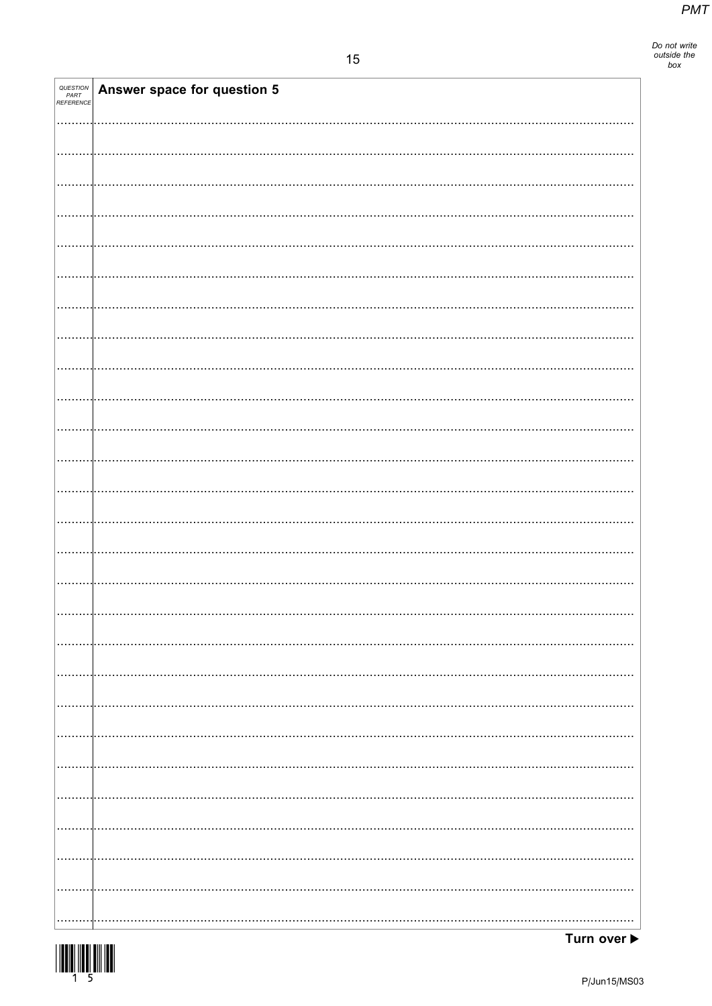Do not write<br>outside the<br>box

| <b>QUESTION<br/>PART<br/>REFERENCE</b> | Answer space for question 5 |
|----------------------------------------|-----------------------------|
|                                        |                             |
|                                        |                             |
|                                        |                             |
|                                        |                             |
|                                        |                             |
|                                        |                             |
|                                        |                             |
|                                        |                             |
|                                        |                             |
|                                        |                             |
|                                        |                             |
|                                        |                             |
|                                        |                             |
|                                        |                             |
|                                        |                             |
|                                        |                             |
|                                        |                             |
|                                        |                             |
|                                        |                             |
|                                        |                             |
|                                        |                             |
|                                        |                             |
|                                        | .                           |
|                                        | .                           |
|                                        |                             |
|                                        |                             |

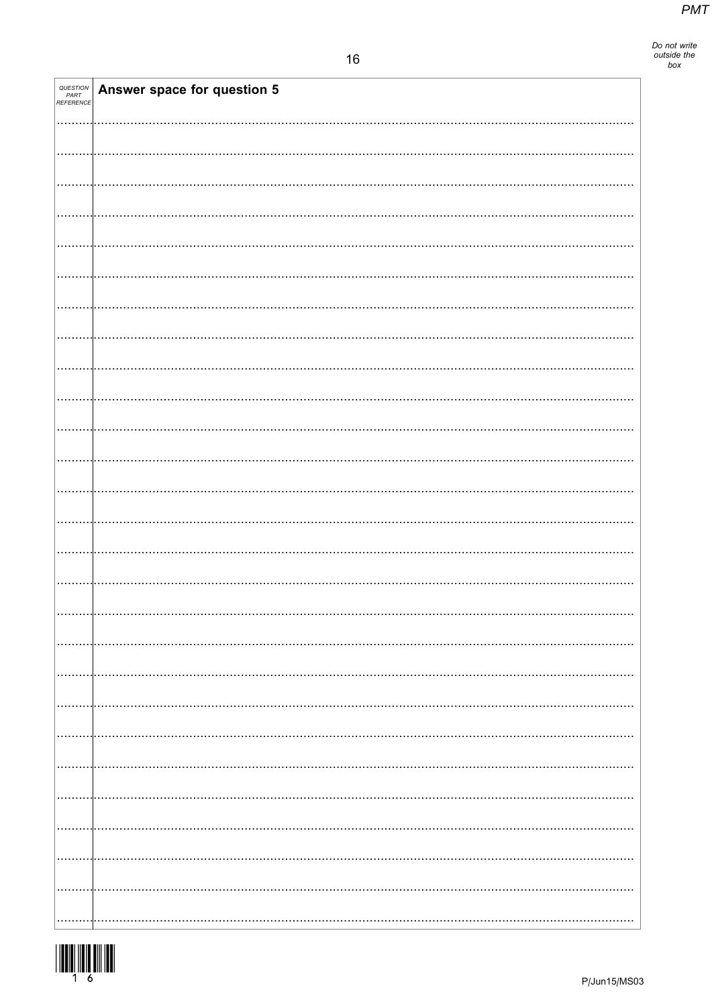| QUESTION<br>PART<br>REFERENCE | Answer space for question 5 |
|-------------------------------|-----------------------------|
|                               |                             |
|                               |                             |
|                               |                             |
|                               |                             |
|                               |                             |
|                               |                             |
|                               |                             |
|                               |                             |
|                               |                             |
|                               |                             |
|                               |                             |
|                               |                             |
|                               |                             |
|                               |                             |
|                               |                             |
|                               |                             |
|                               |                             |
|                               |                             |
|                               |                             |
|                               |                             |
|                               |                             |
|                               |                             |
|                               |                             |

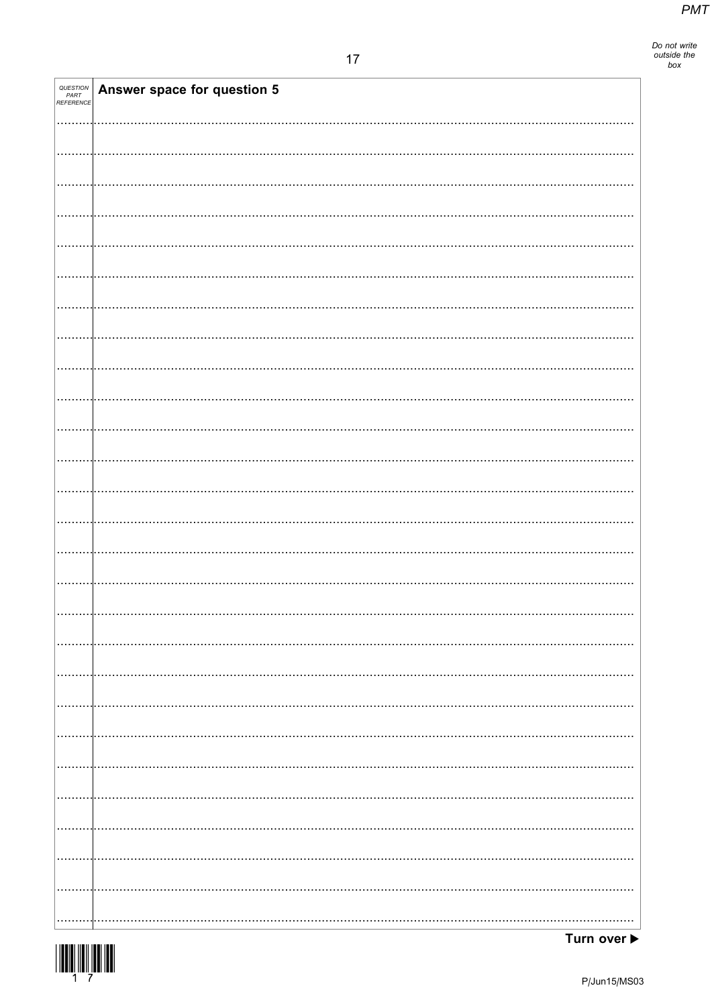| QUESTION<br>PART<br>REFERENCE | Answer space for question 5 |
|-------------------------------|-----------------------------|
|                               |                             |
|                               |                             |
|                               |                             |
|                               |                             |
|                               |                             |
|                               |                             |
|                               |                             |
|                               |                             |
|                               |                             |
|                               |                             |
|                               |                             |
|                               |                             |
|                               |                             |
|                               |                             |
|                               |                             |
|                               |                             |
|                               |                             |
|                               |                             |
|                               |                             |
|                               |                             |
|                               |                             |
|                               |                             |
|                               |                             |
|                               |                             |

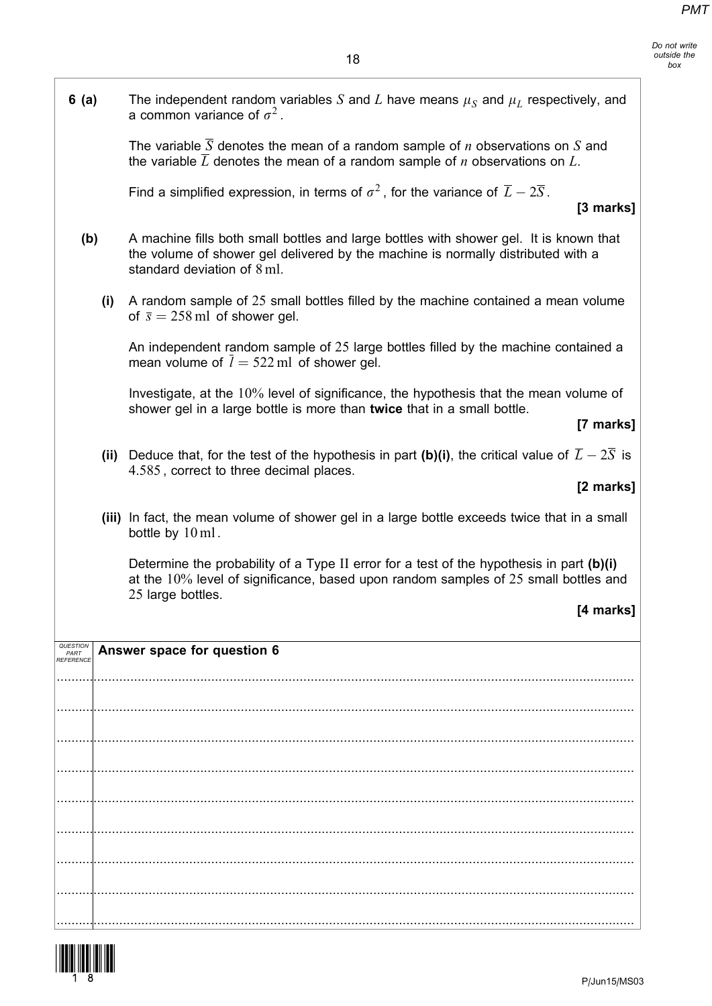Do not write outside the box

| 6(a)                                       |      | The independent random variables S and L have means $\mu_S$ and $\mu_L$ respectively, and<br>a common variance of $\sigma^2$ .                                                                            |
|--------------------------------------------|------|-----------------------------------------------------------------------------------------------------------------------------------------------------------------------------------------------------------|
|                                            |      | The variable $\overline{S}$ denotes the mean of a random sample of <i>n</i> observations on S and<br>the variable $\overline{L}$ denotes the mean of a random sample of <i>n</i> observations on L.       |
|                                            |      | Find a simplified expression, in terms of $\sigma^2$ , for the variance of $\overline{L} - 2\overline{S}$ .<br>[3 marks]                                                                                  |
| (b)                                        |      | A machine fills both small bottles and large bottles with shower gel. It is known that<br>the volume of shower gel delivered by the machine is normally distributed with a<br>standard deviation of 8 ml. |
|                                            | (i)  | A random sample of 25 small bottles filled by the machine contained a mean volume<br>of $\bar{s} = 258$ ml of shower gel.                                                                                 |
|                                            |      | An independent random sample of 25 large bottles filled by the machine contained a<br>mean volume of $l = 522$ ml of shower gel.                                                                          |
|                                            |      | Investigate, at the 10% level of significance, the hypothesis that the mean volume of<br>shower gel in a large bottle is more than twice that in a small bottle.<br>[7 marks]                             |
|                                            | (ii) | Deduce that, for the test of the hypothesis in part (b)(i), the critical value of $\overline{L} - 2\overline{S}$ is<br>4.585, correct to three decimal places.<br>[2 marks]                               |
|                                            |      | (iii) In fact, the mean volume of shower gel in a large bottle exceeds twice that in a small<br>bottle by 10 ml.                                                                                          |
|                                            |      | Determine the probability of a Type II error for a test of the hypothesis in part $(b)(i)$<br>at the 10% level of significance, based upon random samples of 25 small bottles and<br>25 large bottles.    |
|                                            |      | [4 marks]                                                                                                                                                                                                 |
| <b>QUESTIO</b><br>PART<br><i>REFERENCE</i> |      | Answer space for question 6                                                                                                                                                                               |
|                                            |      |                                                                                                                                                                                                           |
|                                            |      |                                                                                                                                                                                                           |
|                                            |      |                                                                                                                                                                                                           |
|                                            |      |                                                                                                                                                                                                           |
|                                            |      |                                                                                                                                                                                                           |

.............................................................................................................................................................

.............................................................................................................................................................

.............................................................................................................................................................

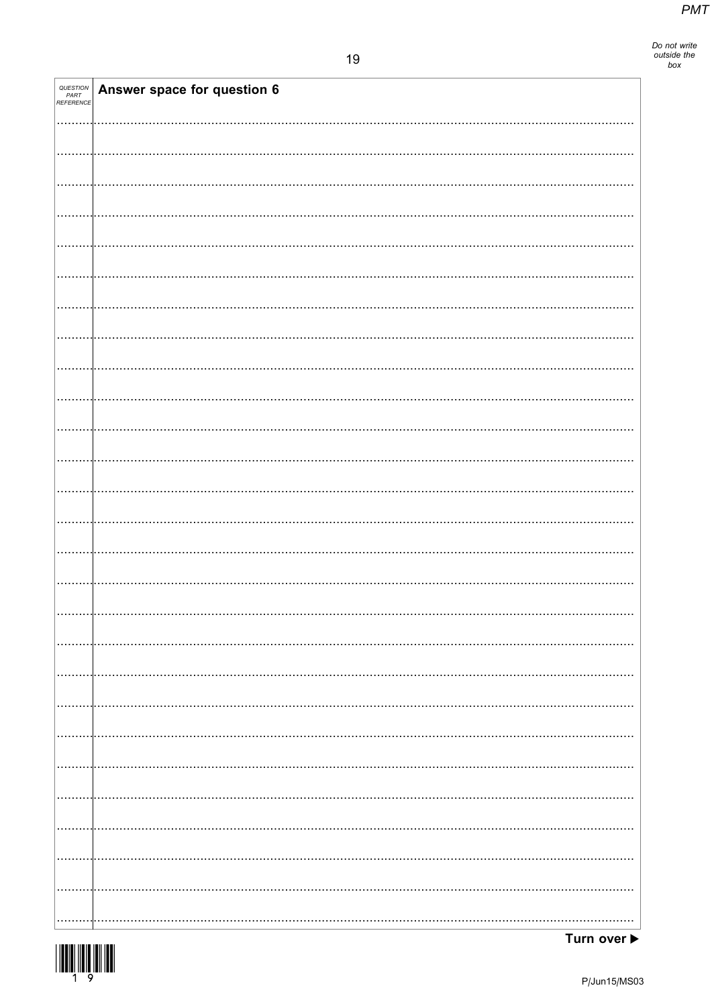Do not write<br>outside the<br>box

| QUESTION<br>PART<br>REFERENCE | Answer space for question 6 |
|-------------------------------|-----------------------------|
|                               |                             |
|                               |                             |
|                               |                             |
|                               |                             |
|                               |                             |
|                               |                             |
|                               |                             |
|                               |                             |
|                               |                             |
|                               |                             |
|                               |                             |
|                               |                             |
|                               |                             |
|                               |                             |
|                               |                             |
|                               |                             |
|                               |                             |
|                               |                             |
|                               |                             |
|                               |                             |
|                               |                             |
|                               |                             |
|                               |                             |
|                               |                             |
|                               |                             |
|                               |                             |